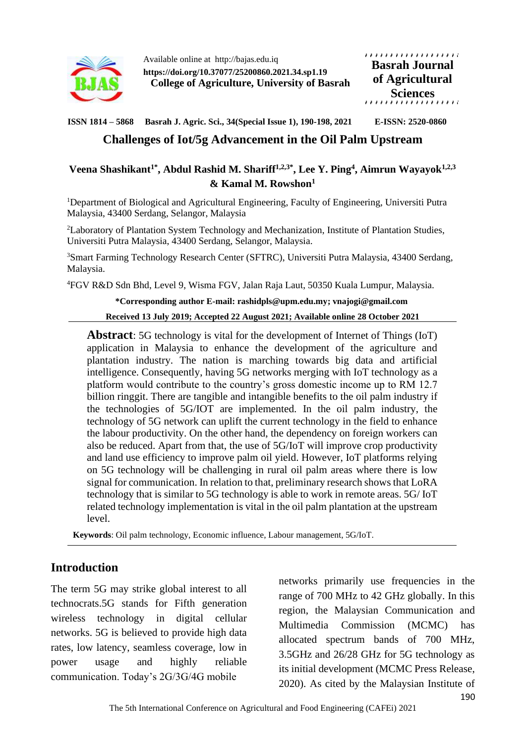

Available online at http://bajas.edu.iq **https://doi.org/10.37077/25200860.2021.34.sp1.19 College of Agriculture, University of Basrah** ,,,,,,,,,,,,,,,,,,,, **Basrah Journal of Agricultural Sciences**

**ISSN 1814 – 5868 Basrah J. Agric. Sci., 34(Special Issue 1), 190-198, 2021 E-ISSN: 2520-0860**

# **Challenges of Iot/5g Advancement in the Oil Palm Upstream**

### **Veena Shashikant1\* , Abdul Rashid M. Shariff1,2,3\* , Lee Y. Ping<sup>4</sup> , Aimrun Wayayok1,2,3 & Kamal M. Rowshon<sup>1</sup>**

<sup>1</sup>Department of Biological and Agricultural Engineering, Faculty of Engineering, Universiti Putra Malaysia, 43400 Serdang, Selangor, Malaysia

<sup>2</sup>Laboratory of Plantation System Technology and Mechanization, Institute of Plantation Studies, Universiti Putra Malaysia, 43400 Serdang, Selangor, Malaysia.

<sup>3</sup>Smart Farming Technology Research Center (SFTRC), Universiti Putra Malaysia, 43400 Serdang, Malaysia.

<sup>4</sup>FGV R&D Sdn Bhd, Level 9, Wisma FGV, Jalan Raja Laut, 50350 Kuala Lumpur, Malaysia.

### **\*Corresponding author E-mail: rashidpls@upm.edu.my; vnajogi@gmail.com**

**Received 13 July 2019; Accepted 22 August 2021; Available online 28 October 2021**

**Abstract**: 5G technology is vital for the development of Internet of Things (IoT) application in Malaysia to enhance the development of the agriculture and plantation industry. The nation is marching towards big data and artificial intelligence. Consequently, having 5G networks merging with IoT technology as a platform would contribute to the country's gross domestic income up to RM 12.7 billion ringgit. There are tangible and intangible benefits to the oil palm industry if the technologies of 5G/IOT are implemented. In the oil palm industry, the technology of 5G network can uplift the current technology in the field to enhance the labour productivity. On the other hand, the dependency on foreign workers can also be reduced. Apart from that, the use of 5G/IoT will improve crop productivity and land use efficiency to improve palm oil yield. However, IoT platforms relying on 5G technology will be challenging in rural oil palm areas where there is low signal for communication. In relation to that, preliminary research shows that LoRA technology that is similar to 5G technology is able to work in remote areas. 5G/ IoT related technology implementation is vital in the oil palm plantation at the upstream level.

**Keywords**: Oil palm technology, Economic influence, Labour management, 5G/IoT.

# **Introduction**

The term 5G may strike global interest to all technocrats.5G stands for Fifth generation wireless technology in digital cellular networks. 5G is believed to provide high data rates, low latency, seamless coverage, low in power usage and highly reliable communication. Today's 2G/3G/4G mobile

networks primarily use frequencies in the range of 700 MHz to 42 GHz globally. In this region, the Malaysian Communication and Multimedia Commission (MCMC) has allocated spectrum bands of 700 MHz, 3.5GHz and 26/28 GHz for 5G technology as its initial development (MCMC Press Release, 2020). As cited by the Malaysian Institute of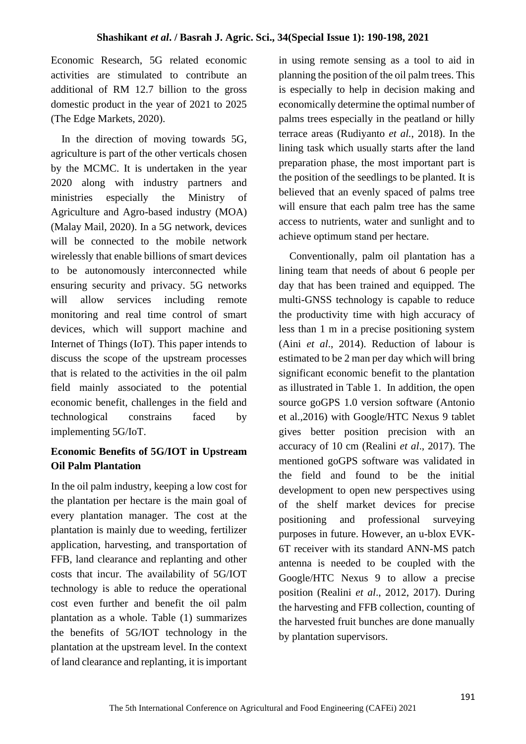Economic Research, 5G related economic activities are stimulated to contribute an additional of RM 12.7 billion to the gross domestic product in the year of 2021 to 2025 (The Edge Markets, 2020).

 In the direction of moving towards 5G, agriculture is part of the other verticals chosen by the MCMC. It is undertaken in the year 2020 along with industry partners and ministries especially the Ministry of Agriculture and Agro-based industry (MOA) (Malay Mail, 2020). In a 5G network, devices will be connected to the mobile network wirelessly that enable billions of smart devices to be autonomously interconnected while ensuring security and privacy. 5G networks will allow services including remote monitoring and real time control of smart devices, which will support machine and Internet of Things (IoT). This paper intends to discuss the scope of the upstream processes that is related to the activities in the oil palm field mainly associated to the potential economic benefit, challenges in the field and technological constrains faced by implementing 5G/IoT.

# **Economic Benefits of 5G/IOT in Upstream Oil Palm Plantation**

In the oil palm industry, keeping a low cost for the plantation per hectare is the main goal of every plantation manager. The cost at the plantation is mainly due to weeding, fertilizer application, harvesting, and transportation of FFB, land clearance and replanting and other costs that incur. The availability of 5G/IOT technology is able to reduce the operational cost even further and benefit the oil palm plantation as a whole. Table (1) summarizes the benefits of 5G/IOT technology in the plantation at the upstream level. In the context of land clearance and replanting, it is important in using remote sensing as a tool to aid in planning the position of the oil palm trees. This is especially to help in decision making and economically determine the optimal number of palms trees especially in the peatland or hilly terrace areas (Rudiyanto *et al.*, 2018). In the lining task which usually starts after the land preparation phase, the most important part is the position of the seedlings to be planted. It is believed that an evenly spaced of palms tree will ensure that each palm tree has the same access to nutrients, water and sunlight and to achieve optimum stand per hectare.

 Conventionally, palm oil plantation has a lining team that needs of about 6 people per day that has been trained and equipped. The multi-GNSS technology is capable to reduce the productivity time with high accuracy of less than 1 m in a precise positioning system (Aini *et al*., 2014). Reduction of labour is estimated to be 2 man per day which will bring significant economic benefit to the plantation as illustrated in Table 1. In addition, the open source goGPS 1.0 version software (Antonio et al.,2016) with Google/HTC Nexus 9 tablet gives better position precision with an accuracy of 10 cm (Realini *et al*., 2017). The mentioned goGPS software was validated in the field and found to be the initial development to open new perspectives using of the shelf market devices for precise positioning and professional surveying purposes in future. However, an u-blox EVK-6T receiver with its standard ANN-MS patch antenna is needed to be coupled with the Google/HTC Nexus 9 to allow a precise position (Realini *et al*., 2012, 2017). During the harvesting and FFB collection, counting of the harvested fruit bunches are done manually by plantation supervisors.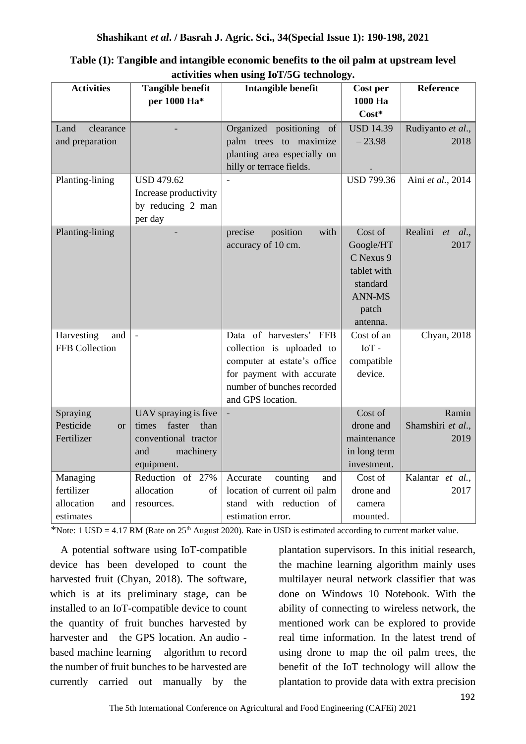| <b>Activities</b>      | <b>Tangible benefit</b>                                                                                          | Intangible benefit           | Cost per          | Reference               |
|------------------------|------------------------------------------------------------------------------------------------------------------|------------------------------|-------------------|-------------------------|
|                        | per 1000 Ha*                                                                                                     |                              | 1000 Ha           |                         |
|                        |                                                                                                                  |                              | Cost*             |                         |
| Land<br>clearance      |                                                                                                                  | Organized positioning<br>of  | <b>USD 14.39</b>  | Rudiyanto et al.,       |
| and preparation        |                                                                                                                  | palm trees to maximize       | $-23.98$          | 2018                    |
|                        |                                                                                                                  | planting area especially on  |                   |                         |
|                        |                                                                                                                  | hilly or terrace fields.     |                   |                         |
| Planting-lining        | <b>USD 479.62</b>                                                                                                |                              | <b>USD 799.36</b> | Aini et al., 2014       |
|                        | Increase productivity                                                                                            |                              |                   |                         |
|                        | by reducing 2 man                                                                                                |                              |                   |                         |
|                        | per day                                                                                                          |                              |                   |                         |
| Planting-lining        |                                                                                                                  | precise<br>position<br>with  | Cost of           | Realini<br>$et \, al.,$ |
|                        |                                                                                                                  | accuracy of 10 cm.           | Google/HT         | 2017                    |
|                        |                                                                                                                  |                              | C Nexus 9         |                         |
|                        |                                                                                                                  |                              | tablet with       |                         |
|                        |                                                                                                                  |                              | standard          |                         |
|                        |                                                                                                                  |                              | <b>ANN-MS</b>     |                         |
|                        |                                                                                                                  |                              | patch             |                         |
|                        |                                                                                                                  |                              | antenna.          |                         |
| Harvesting<br>and      | $\bar{\phantom{a}}$                                                                                              | Data of harvesters' FFB      | Cost of an        | Chyan, 2018             |
| FFB Collection         |                                                                                                                  | collection is uploaded to    | $IoT -$           |                         |
|                        |                                                                                                                  | computer at estate's office  | compatible        |                         |
|                        |                                                                                                                  | for payment with accurate    | device.           |                         |
|                        |                                                                                                                  | number of bunches recorded   |                   |                         |
|                        |                                                                                                                  | and GPS location.            |                   |                         |
| Spraying               | UAV spraying is five                                                                                             |                              | Cost of           | Ramin                   |
| Pesticide<br><b>or</b> | faster<br>times<br>than                                                                                          |                              | drone and         | Shamshiri et al.,       |
| Fertilizer             | conventional tractor                                                                                             |                              | maintenance       | 2019                    |
|                        | machinery<br>and                                                                                                 |                              | in long term      |                         |
|                        | equipment.                                                                                                       |                              | investment.       |                         |
| Managing               | Reduction of 27%                                                                                                 | counting<br>Accurate<br>and  | Cost of           | Kalantar et al.,        |
| fertilizer             | allocation<br>$% \left( \left( \mathcal{A},\mathcal{A}\right) \right) =\left( \mathcal{A},\mathcal{A}\right)$ of | location of current oil palm | drone and         | 2017                    |
| allocation<br>and      | resources.                                                                                                       | stand with reduction of      | camera            |                         |
| estimates              |                                                                                                                  | estimation error.            | mounted.          |                         |

**Table (1): Tangible and intangible economic benefits to the oil palm at upstream level activities when using IoT/5G technology.**

\*Note: 1 USD = 4.17 RM (Rate on 25<sup>th</sup> August 2020). Rate in USD is estimated according to current market value.

 A potential software using IoT-compatible device has been developed to count the harvested fruit (Chyan, 2018). The software, which is at its preliminary stage, can be installed to an IoT-compatible device to count the quantity of fruit bunches harvested by harvester and the GPS location. An audio based machine learning algorithm to record the number of fruit bunches to be harvested are currently carried out manually by the

plantation supervisors. In this initial research, the machine learning algorithm mainly uses multilayer neural network classifier that was done on Windows 10 Notebook. With the ability of connecting to wireless network, the mentioned work can be explored to provide real time information. In the latest trend of using drone to map the oil palm trees, the benefit of the IoT technology will allow the plantation to provide data with extra precision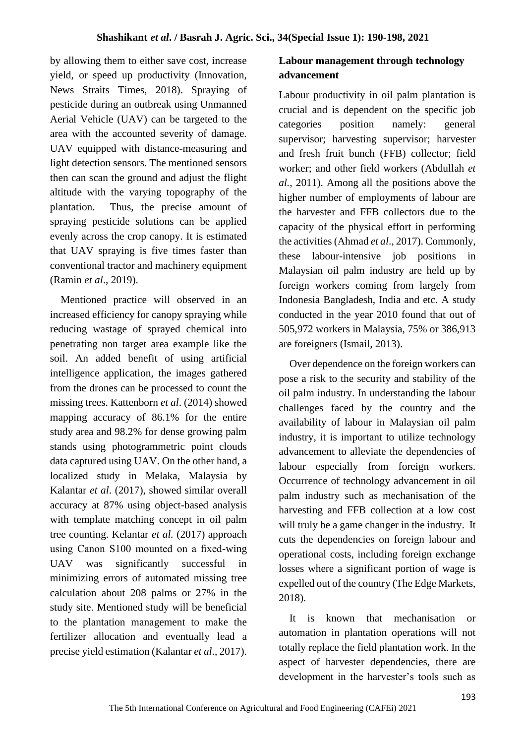by allowing them to either save cost, increase yield, or speed up productivity (Innovation, News Straits Times, 2018). Spraying of pesticide during an outbreak using Unmanned Aerial Vehicle (UAV) can be targeted to the area with the accounted severity of damage. UAV equipped with distance-measuring and light detection sensors. The mentioned sensors then can scan the ground and adjust the flight altitude with the varying topography of the plantation. Thus, the precise amount of spraying pesticide solutions can be applied evenly across the crop canopy. It is estimated that UAV spraying is five times faster than conventional tractor and machinery equipment (Ramin *et al*., 2019).

 Mentioned practice will observed in an increased efficiency for canopy spraying while reducing wastage of sprayed chemical into penetrating non target area example like the soil. An added benefit of using artificial intelligence application, the images gathered from the drones can be processed to count the missing trees. Kattenborn *et al*. (2014) showed mapping accuracy of 86.1% for the entire study area and 98.2% for dense growing palm stands using photogrammetric point clouds data captured using UAV. On the other hand, a localized study in Melaka, Malaysia by Kalantar *et al*. (2017), showed similar overall accuracy at 87% using object-based analysis with template matching concept in oil palm tree counting. Kelantar *et al.* (2017) approach using Canon S100 mounted on a fixed-wing UAV was significantly successful in minimizing errors of automated missing tree calculation about 208 palms or 27% in the study site. Mentioned study will be beneficial to the plantation management to make the fertilizer allocation and eventually lead a precise yield estimation (Kalantar *et al*., 2017).

# **Labour management through technology advancement**

Labour productivity in oil palm plantation is crucial and is dependent on the specific job categories position namely: general supervisor; harvesting supervisor; harvester and fresh fruit bunch (FFB) collector; field worker; and other field workers (Abdullah *et al.*, 2011). Among all the positions above the higher number of employments of labour are the harvester and FFB collectors due to the capacity of the physical effort in performing the activities (Ahmad *et al*., 2017). Commonly, these labour-intensive job positions in Malaysian oil palm industry are held up by foreign workers coming from largely from Indonesia Bangladesh, India and etc. A study conducted in the year 2010 found that out of 505,972 workers in Malaysia, 75% or 386,913 are foreigners (Ismail, 2013).

 Over dependence on the foreign workers can pose a risk to the security and stability of the oil palm industry. In understanding the labour challenges faced by the country and the availability of labour in Malaysian oil palm industry, it is important to utilize technology advancement to alleviate the dependencies of labour especially from foreign workers. Occurrence of technology advancement in oil palm industry such as mechanisation of the harvesting and FFB collection at a low cost will truly be a game changer in the industry. It cuts the dependencies on foreign labour and operational costs, including foreign exchange losses where a significant portion of wage is expelled out of the country (The Edge Markets, 2018).

 It is known that mechanisation or automation in plantation operations will not totally replace the field plantation work. In the aspect of harvester dependencies, there are development in the harvester's tools such as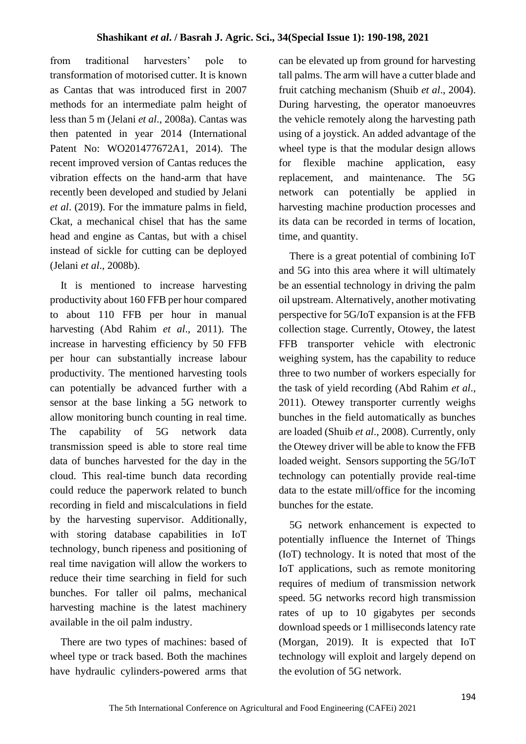from traditional harvesters' pole to transformation of motorised cutter. It is known as Cantas that was introduced first in 2007 methods for an intermediate palm height of less than 5 m (Jelani *et al*., 2008a). Cantas was then patented in year 2014 (International Patent No: WO201477672A1, 2014). The recent improved version of Cantas reduces the vibration effects on the hand-arm that have recently been developed and studied by Jelani *et al*. (2019). For the immature palms in field, Ckat, a mechanical chisel that has the same head and engine as Cantas, but with a chisel instead of sickle for cutting can be deployed (Jelani *et al*., 2008b).

 It is mentioned to increase harvesting productivity about 160 FFB per hour compared to about 110 FFB per hour in manual harvesting (Abd Rahim *et al*., 2011). The increase in harvesting efficiency by 50 FFB per hour can substantially increase labour productivity. The mentioned harvesting tools can potentially be advanced further with a sensor at the base linking a 5G network to allow monitoring bunch counting in real time. The capability of 5G network data transmission speed is able to store real time data of bunches harvested for the day in the cloud. This real-time bunch data recording could reduce the paperwork related to bunch recording in field and miscalculations in field by the harvesting supervisor. Additionally, with storing database capabilities in IoT technology, bunch ripeness and positioning of real time navigation will allow the workers to reduce their time searching in field for such bunches. For taller oil palms, mechanical harvesting machine is the latest machinery available in the oil palm industry.

 There are two types of machines: based of wheel type or track based. Both the machines have hydraulic cylinders-powered arms that

can be elevated up from ground for harvesting tall palms. The arm will have a cutter blade and fruit catching mechanism (Shuib *et al*., 2004). During harvesting, the operator manoeuvres the vehicle remotely along the harvesting path using of a joystick. An added advantage of the wheel type is that the modular design allows for flexible machine application, easy replacement, and maintenance. The 5G network can potentially be applied in harvesting machine production processes and its data can be recorded in terms of location, time, and quantity.

 There is a great potential of combining IoT and 5G into this area where it will ultimately be an essential technology in driving the palm oil upstream. Alternatively, another motivating perspective for 5G/IoT expansion is at the FFB collection stage. Currently, Otowey, the latest FFB transporter vehicle with electronic weighing system, has the capability to reduce three to two number of workers especially for the task of yield recording (Abd Rahim *et al*., 2011). Otewey transporter currently weighs bunches in the field automatically as bunches are loaded (Shuib *et al*., 2008). Currently, only the Otewey driver will be able to know the FFB loaded weight. Sensors supporting the 5G/IoT technology can potentially provide real-time data to the estate mill/office for the incoming bunches for the estate.

 5G network enhancement is expected to potentially influence the Internet of Things (IoT) technology. It is noted that most of the IoT applications, such as remote monitoring requires of medium of transmission network speed. 5G networks record high transmission rates of up to 10 gigabytes per seconds download speeds or 1 milliseconds latency rate (Morgan, 2019). It is expected that IoT technology will exploit and largely depend on the evolution of 5G network.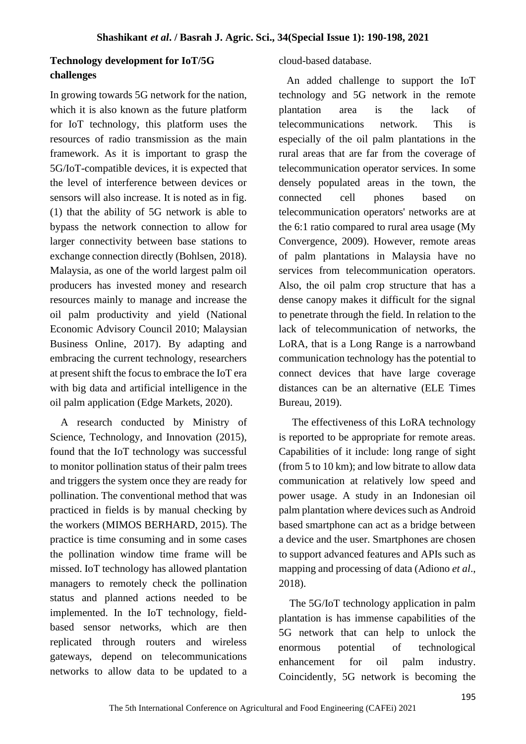## **Technology development for IoT/5G challenges**

In growing towards 5G network for the nation, which it is also known as the future platform for IoT technology, this platform uses the resources of radio transmission as the main framework. As it is important to grasp the 5G/IoT-compatible devices, it is expected that the level of interference between devices or sensors will also increase. It is noted as in fig. (1) that the ability of 5G network is able to bypass the network connection to allow for larger connectivity between base stations to exchange connection directly (Bohlsen, 2018). Malaysia, as one of the world largest palm oil producers has invested money and research resources mainly to manage and increase the oil palm productivity and yield (National Economic Advisory Council 2010; Malaysian Business Online, 2017). By adapting and embracing the current technology, researchers at present shift the focus to embrace the IoT era with big data and artificial intelligence in the oil palm application (Edge Markets, 2020).

 A research conducted by Ministry of Science, Technology, and Innovation (2015), found that the IoT technology was successful to monitor pollination status of their palm trees and triggers the system once they are ready for pollination. The conventional method that was practiced in fields is by manual checking by the workers (MIMOS BERHARD, 2015). The practice is time consuming and in some cases the pollination window time frame will be missed. IoT technology has allowed plantation managers to remotely check the pollination status and planned actions needed to be implemented. In the IoT technology, fieldbased sensor networks, which are then replicated through routers and wireless gateways, depend on telecommunications networks to allow data to be updated to a

#### cloud-based database.

 An added challenge to support the IoT technology and 5G network in the remote plantation area is the lack of telecommunications network. This is especially of the oil palm plantations in the rural areas that are far from the coverage of telecommunication operator services. In some densely populated areas in the town, the connected cell phones based on telecommunication operators' networks are at the 6:1 ratio compared to rural area usage (My Convergence, 2009). However, remote areas of palm plantations in Malaysia have no services from telecommunication operators. Also, the oil palm crop structure that has a dense canopy makes it difficult for the signal to penetrate through the field. In relation to the lack of telecommunication of networks, the LoRA, that is a Long Range is a narrowband communication technology has the potential to connect devices that have large coverage distances can be an alternative (ELE Times Bureau, 2019).

 The effectiveness of this LoRA technology is reported to be appropriate for remote areas. Capabilities of it include: long range of sight (from 5 to 10 km); and low bitrate to allow data communication at relatively low speed and power usage. A study in an Indonesian oil palm plantation where devices such as Android based smartphone can act as a bridge between a device and the user. Smartphones are chosen to support advanced features and APIs such as mapping and processing of data (Adiono *et al*., 2018).

 The 5G/IoT technology application in palm plantation is has immense capabilities of the 5G network that can help to unlock the enormous potential of technological enhancement for oil palm industry. Coincidently, 5G network is becoming the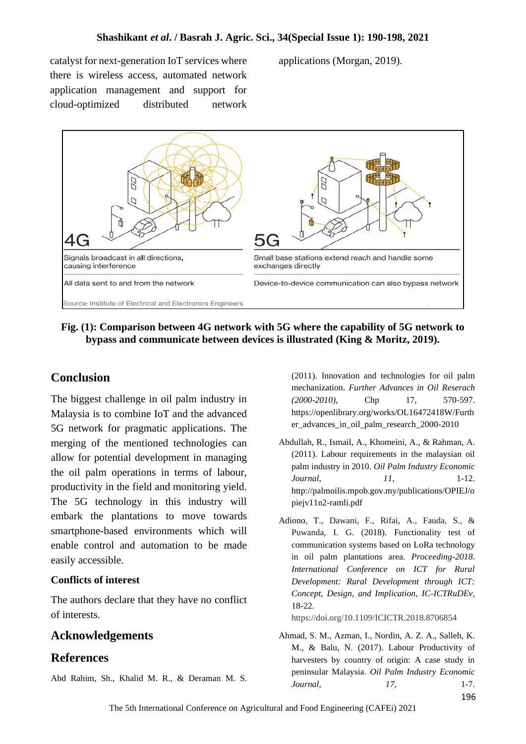catalyst for next-generation IoT services where there is wireless access, automated network application management and support for cloud-optimized distributed network applications (Morgan, 2019).



**Fig. (1): Comparison between 4G network with 5G where the capability of 5G network to bypass and communicate between devices is illustrated (King & Moritz, 2019).**

### **Conclusion**

The biggest challenge in oil palm industry in Malaysia is to combine IoT and the advanced 5G network for pragmatic applications. The merging of the mentioned technologies can allow for potential development in managing the oil palm operations in terms of labour, productivity in the field and monitoring yield. The 5G technology in this industry will embark the plantations to move towards smartphone-based environments which will enable control and automation to be made easily accessible.

#### **Conflicts of interest**

The authors declare that they have no conflict of interests.

### **Acknowledgements**

### **References**

Abd Rahim, Sh., Khalid M. R., & Deraman M. S.

(2011). Innovation and technologies for oil palm mechanization. *Further Advances in Oil Reserach (2000-2010)*, Chp 17, 570-597. https://openlibrary.org/works/OL16472418W/Furth er\_advances\_in\_oil\_palm\_research\_2000-2010

- Abdullah, R., Ismail, A., Khomeini, A., & Rahman, A. (2011). Labour requirements in the malaysian oil palm industry in 2010. *Oil Palm Industry Economic Journal*, *11,* 1-12. http://palmoilis.mpob.gov.my/publications/OPIEJ/o piejv11n2-ramli.pdf
- Adiono, T., Dawani, F., Rifai, A., Fauda, S., & Puwanda, I. G. (2018). Functionality test of communication systems based on LoRa technology in oil palm plantations area. *Proceeding-2018. International Conference on ICT for Rural Development: Rural Development through ICT: Concept, Design, and Implication, IC-ICTRuDEv,* 18-22.

https://doi.org/10.1109/ICICTR.2018.8706854

Ahmad, S. M., Azman, I., Nordin, A. Z. A., Salleh, K. M., & Balu, N. (2017). Labour Productivity of harvesters by country of origin: A case study in peninsular Malaysia. *Oil Palm Industry Economic Journal,* 17, 1-7,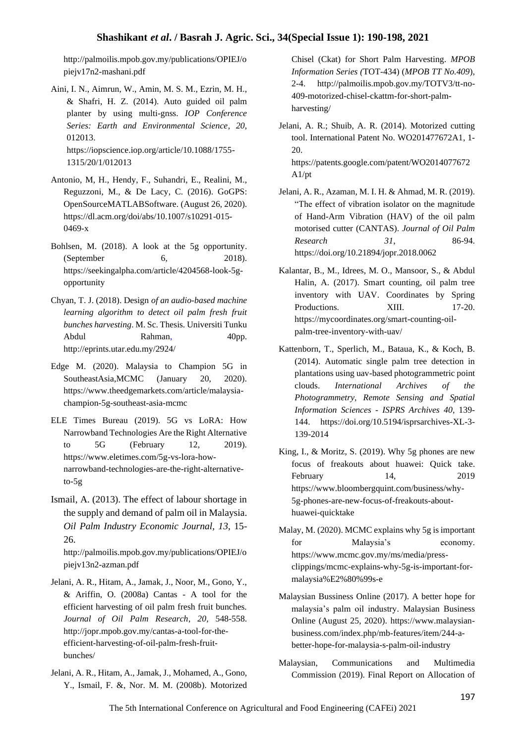http://palmoilis.mpob.gov.my/publications/OPIEJ/o piejv17n2-mashani.pdf

- Aini, I. N., Aimrun, W., Amin, M. S. M., Ezrin, M. H., & Shafri, H. Z. (2014). Auto guided oil palm planter by using multi-gnss. *IOP Conference Series: Earth and Environmental Science, 20*, 012013. https://iopscience.iop.org/article/10.1088/1755- 1315/20/1/012013
- Antonio, M, H., Hendy, F., Suhandri, E., Realini, M., Reguzzoni, M., & De Lacy, C. (2016). GoGPS: OpenSourceMATLABSoftware. (August 26, 2020). https://dl.acm.org/doi/abs/10.1007/s10291-015- 0469-x
- Bohlsen, M. (2018). A look at the 5g opportunity. (September 6, 2018). https://seekingalpha.com/article/4204568-look-5gopportunity
- Chyan, T. J. (2018). Design *of an audio-based machine learning algorithm to detect oil palm fresh fruit bunches harvesting*. M. Sc. Thesis. Universiti Tunku Abdul Rahman, 40pp. http://eprints.utar.edu.my/2924/
- Edge M. (2020). Malaysia to Champion 5G in SoutheastAsia, MCMC (January 20, 2020). https://www.theedgemarkets.com/article/malaysiachampion-5g-southeast-asia-mcmc
- ELE Times Bureau (2019). 5G vs LoRA: How Narrowband Technologies Are the Right Alternative to 5G (February 12, 2019). https://www.eletimes.com/5g-vs-lora-hownarrowband-technologies-are-the-right-alternativeto-5g
- Ismail, A. (2013). The effect of labour shortage in the supply and demand of palm oil in Malaysia. *Oil Palm Industry Economic Journal, 13*, 15- 26.

http://palmoilis.mpob.gov.my/publications/OPIEJ/o piejv13n2-azman.pdf

- Jelani, A. R., Hitam, A., Jamak, J., Noor, M., Gono, Y., & Ariffin, O. (2008a) Cantas - A tool for the efficient harvesting of oil palm fresh fruit bunches. *Journal of Oil Palm Research*, *20,* 548-558. http://jopr.mpob.gov.my/cantas-a-tool-for-theefficient-harvesting-of-oil-palm-fresh-fruitbunches/
- Jelani, A. R., Hitam, A., Jamak, J., Mohamed, A., Gono, Y., Ismail, F. &, Nor. M. M. (2008b). Motorized

Chisel (Ckat) for Short Palm Harvesting. *MPOB Information Series (*TOT-434) (*MPOB TT No.409*), 2-4. http://palmoilis.mpob.gov.my/TOTV3/tt-no-409-motorized-chisel-ckattm-for-short-palmharvesting/

Jelani, A. R.; Shuib, A. R. (2014). Motorized cutting tool. International Patent No. WO201477672A1, 1- 20. https://patents.google.com/patent/WO2014077672

A1/pt

- Jelani, A. R., Azaman, M. I. H. & Ahmad, M. R. (2019). "The effect of vibration isolator on the magnitude of Hand-Arm Vibration (HAV) of the oil palm motorised cutter (CANTAS). *Journal of Oil Palm Research 31*, 86-94. https://doi.org/10.21894/jopr.2018.0062
- Kalantar, B., M., Idrees, M. O., Mansoor, S., & Abdul Halin, A. (2017). Smart counting, oil palm tree inventory with UAV. Coordinates by Spring Productions. XIII. 17-20. https://mycoordinates.org/smart-counting-oilpalm-tree-inventory-with-uav/
- Kattenborn, T., Sperlich, M., Bataua, K., & Koch, B. (2014). Automatic single palm tree detection in plantations using uav-based photogrammetric point clouds. *International Archives of the Photogrammetry, Remote Sensing and Spatial Information Sciences - ISPRS Archives 40*, 139- 144. https://doi.org/10.5194/isprsarchives-XL-3- 139-2014
- King, I., & Moritz, S. (2019). Why 5g phones are new focus of freakouts about huawei: Quick take. February 14, 2019 https://www.bloombergquint.com/business/why-5g-phones-are-new-focus-of-freakouts-abouthuawei-quicktake
- Malay, M. (2020). MCMC explains why 5g is important for Malaysia's economy. https://www.mcmc.gov.my/ms/media/pressclippings/mcmc-explains-why-5g-is-important-formalaysia%E2%80%99s-e
- Malaysian Bussiness Online (2017). A better hope for malaysia's palm oil industry. Malaysian Business Online (August 25, 2020). https://www.malaysianbusiness.com/index.php/mb-features/item/244-abetter-hope-for-malaysia-s-palm-oil-industry
- Malaysian, Communications and Multimedia Commission (2019). Final Report on Allocation of